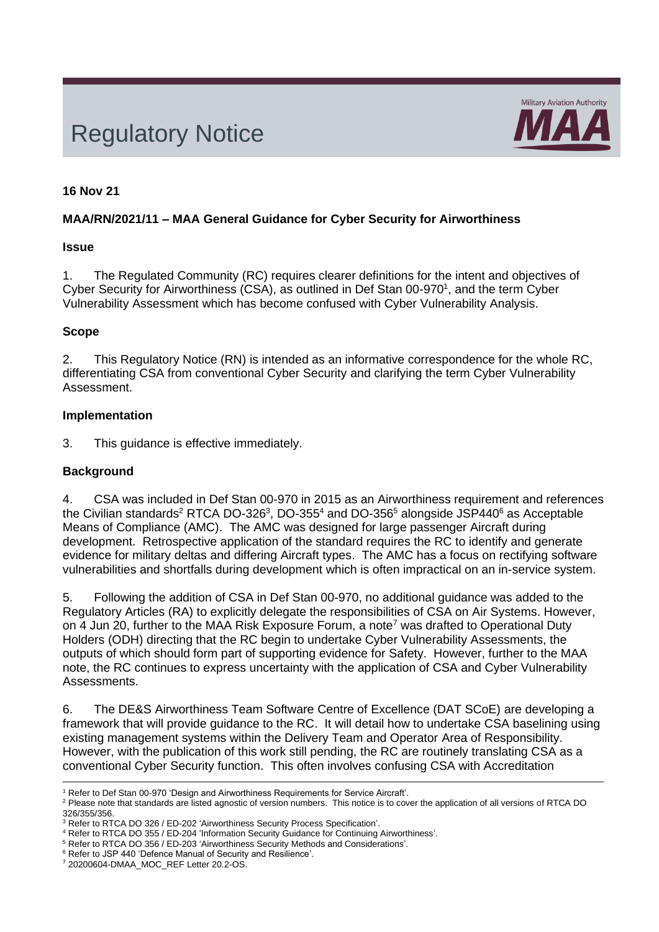# Regulatory Notice



## **16 Nov 21**

## **MAA/RN/2021/11 – MAA General Guidance for Cyber Security for Airworthiness**

#### **Issue**

1. The Regulated Community (RC) requires clearer definitions for the intent and objectives of Cyber Security for Airworthiness (CSA), as outlined in Def Stan 00-970<sup>1</sup>, and the term Cyber Vulnerability Assessment which has become confused with Cyber Vulnerability Analysis.

## **Scope**

2. This Regulatory Notice (RN) is intended as an informative correspondence for the whole RC, differentiating CSA from conventional Cyber Security and clarifying the term Cyber Vulnerability Assessment.

## **Implementation**

3. This guidance is effective immediately.

## **Background**

4. CSA was included in Def Stan 00-970 in 2015 as an Airworthiness requirement and references the Civilian standards<sup>2</sup> RTCA DO-326<sup>3</sup>, DO-355<sup>4</sup> and DO-356<sup>5</sup> alongside JSP440<sup>6</sup> as Acceptable Means of Compliance (AMC). The AMC was designed for large passenger Aircraft during development. Retrospective application of the standard requires the RC to identify and generate evidence for military deltas and differing Aircraft types. The AMC has a focus on rectifying software vulnerabilities and shortfalls during development which is often impractical on an in-service system.

<span id="page-0-0"></span>5. Following the addition of CSA in Def Stan 00-970, no additional guidance was added to the Regulatory Articles (RA) to explicitly delegate the responsibilities of CSA on Air Systems. However, on  $\overline{4}$  Jun 20, further to the MAA Risk Exposure Forum, a note<sup>7</sup> was drafted to Operational Duty Holders (ODH) directing that the RC begin to undertake Cyber Vulnerability Assessments, the outputs of which should form part of supporting evidence for Safety. However, further to the MAA note, the RC continues to express uncertainty with the application of CSA and Cyber Vulnerability Assessments.

6. The DE&S Airworthiness Team Software Centre of Excellence (DAT SCoE) are developing a framework that will provide guidance to the RC. It will detail how to undertake CSA baselining using existing management systems within the Delivery Team and Operator Area of Responsibility. However, with the publication of this work still pending, the RC are routinely translating CSA as a conventional Cyber Security function. This often involves confusing CSA with Accreditation

<sup>&</sup>lt;sup>1</sup> Refer to Def Stan 00-970 'Design and Airworthiness Requirements for Service Aircraft'.

<sup>&</sup>lt;sup>2</sup> Please note that standards are listed agnostic of version numbers. This notice is to cover the application of all versions of RTCA DO 326/355/356.

<sup>3</sup> Refer to RTCA DO 326 / ED-202 'Airworthiness Security Process Specification'.

<sup>4</sup> Refer to RTCA DO 355 / ED-204 'Information Security Guidance for Continuing Airworthiness'.

<sup>5</sup> Refer to RTCA DO 356 / ED-203 'Airworthiness Security Methods and Considerations'.

<sup>&</sup>lt;sup>6</sup> Refer to JSP 440 'Defence Manual of Security and Resilience'.

<sup>7</sup> 20200604-DMAA\_MOC\_REF Letter 20.2-OS.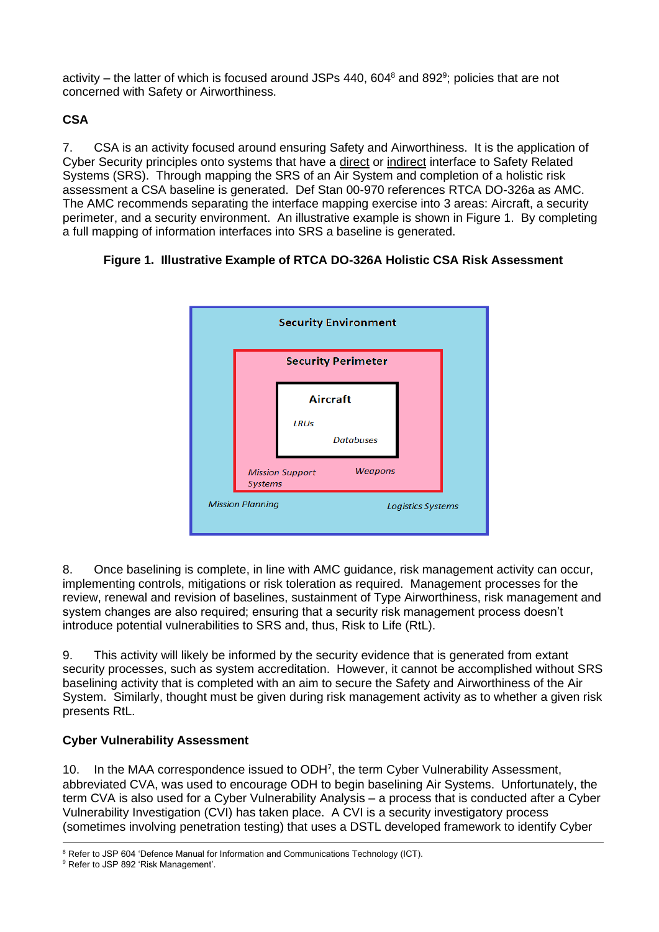activity – the latter of which is focused around JSPs 440, 604 $^8$  and 892 $^9$ ; policies that are not concerned with Safety or Airworthiness.

# **CSA**

7. CSA is an activity focused around ensuring Safety and Airworthiness. It is the application of Cyber Security principles onto systems that have a direct or indirect interface to Safety Related Systems (SRS). Through mapping the SRS of an Air System and completion of a holistic risk assessment a CSA baseline is generated. Def Stan 00-970 references RTCA DO-326a as AMC. The AMC recommends separating the interface mapping exercise into 3 areas: Aircraft, a security perimeter, and a security environment. An illustrative example is shown in Figure 1. By completing a full mapping of information interfaces into SRS a baseline is generated.

## **Figure 1. Illustrative Example of RTCA DO-326A Holistic CSA Risk Assessment**



8. Once baselining is complete, in line with AMC guidance, risk management activity can occur, implementing controls, mitigations or risk toleration as required. Management processes for the review, renewal and revision of baselines, sustainment of Type Airworthiness, risk management and system changes are also required; ensuring that a security risk management process doesn't introduce potential vulnerabilities to SRS and, thus, Risk to Life (RtL).

9. This activity will likely be informed by the security evidence that is generated from extant security processes, such as system accreditation. However, it cannot be accomplished without SRS baselining activity that is completed with an aim to secure the Safety and Airworthiness of the Air System. Similarly, thought must be given during risk management activity as to whether a given risk presents RtL.

## **Cyber Vulnerability Assessment**

10. In the MAA correspondence issued to ODH<sup>7</sup>[,](#page-0-0) the term Cyber Vulnerability Assessment, abbreviated CVA, was used to encourage ODH to begin baselining Air Systems. Unfortunately, the term CVA is also used for a Cyber Vulnerability Analysis – a process that is conducted after a Cyber Vulnerability Investigation (CVI) has taken place. A CVI is a security investigatory process (sometimes involving penetration testing) that uses a DSTL developed framework to identify Cyber

<sup>&</sup>lt;sup>8</sup> Refer to JSP 604 'Defence Manual for Information and Communications Technology (ICT).

<sup>9</sup> Refer to JSP 892 'Risk Management'.